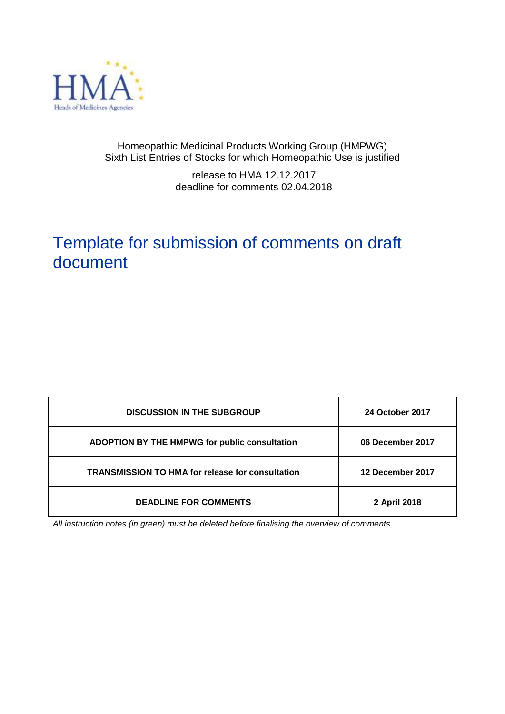

# Homeopathic Medicinal Products Working Group (HMPWG) Sixth List Entries of Stocks for which Homeopathic Use is justified

release to HMA 12.12.2017 deadline for comments 02.04.2018

# Template for submission of comments on draft document

| <b>DISCUSSION IN THE SUBGROUP</b>                       | <b>24 October 2017</b> |
|---------------------------------------------------------|------------------------|
| <b>ADOPTION BY THE HMPWG for public consultation</b>    | 06 December 2017       |
| <b>TRANSMISSION TO HMA for release for consultation</b> | 12 December 2017       |
| <b>DEADLINE FOR COMMENTS</b>                            | 2 April 2018           |

*All instruction notes (in green) must be deleted before finalising the overview of comments.*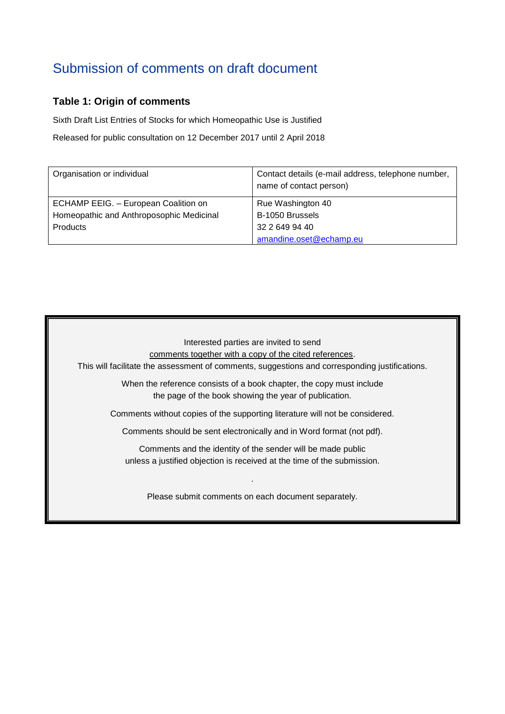# Submission of comments on draft document

# **Table 1: Origin of comments**

Sixth Draft List Entries of Stocks for which Homeopathic Use is Justified

Released for public consultation on 12 December 2017 until 2 April 2018

| Organisation or individual               | Contact details (e-mail address, telephone number,<br>name of contact person) |
|------------------------------------------|-------------------------------------------------------------------------------|
| ECHAMP EEIG. - European Coalition on     | Rue Washington 40                                                             |
| Homeopathic and Anthroposophic Medicinal | B-1050 Brussels                                                               |
| Products                                 | 32 2 649 94 40                                                                |
|                                          | amandine.oset@echamp.eu                                                       |

Interested parties are invited to send

comments together with a copy of the cited references.

This will facilitate the assessment of comments, suggestions and corresponding justifications.

When the reference consists of a book chapter, the copy must include the page of the book showing the year of publication.

Comments without copies of the supporting literature will not be considered.

Comments should be sent electronically and in Word format (not pdf).

Comments and the identity of the sender will be made public unless a justified objection is received at the time of the submission.

Please submit comments on each document separately.

.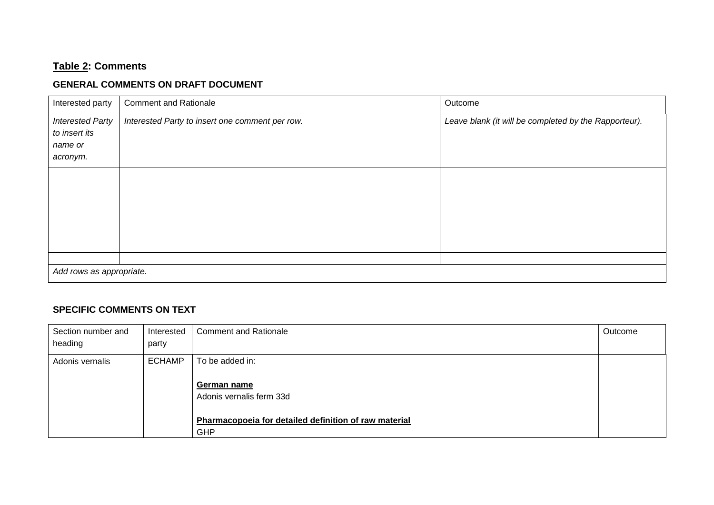# **Table 2: Comments**

# **GENERAL COMMENTS ON DRAFT DOCUMENT**

| Interested party         | <b>Comment and Rationale</b>                    | Outcome                                               |  |  |  |
|--------------------------|-------------------------------------------------|-------------------------------------------------------|--|--|--|
| <b>Interested Party</b>  | Interested Party to insert one comment per row. | Leave blank (it will be completed by the Rapporteur). |  |  |  |
| to insert its            |                                                 |                                                       |  |  |  |
| name or                  |                                                 |                                                       |  |  |  |
| acronym.                 |                                                 |                                                       |  |  |  |
|                          |                                                 |                                                       |  |  |  |
|                          |                                                 |                                                       |  |  |  |
|                          |                                                 |                                                       |  |  |  |
|                          |                                                 |                                                       |  |  |  |
|                          |                                                 |                                                       |  |  |  |
|                          |                                                 |                                                       |  |  |  |
|                          |                                                 |                                                       |  |  |  |
|                          |                                                 |                                                       |  |  |  |
| Add rows as appropriate. |                                                 |                                                       |  |  |  |

# **SPECIFIC COMMENTS ON TEXT**

| Section number and<br>heading | Interested<br>party | <b>Comment and Rationale</b>                                 | Outcome |
|-------------------------------|---------------------|--------------------------------------------------------------|---------|
| Adonis vernalis               | <b>ECHAMP</b>       | To be added in:                                              |         |
|                               |                     | German name<br>Adonis vernalis ferm 33d                      |         |
|                               |                     | Pharmacopoeia for detailed definition of raw material<br>GHP |         |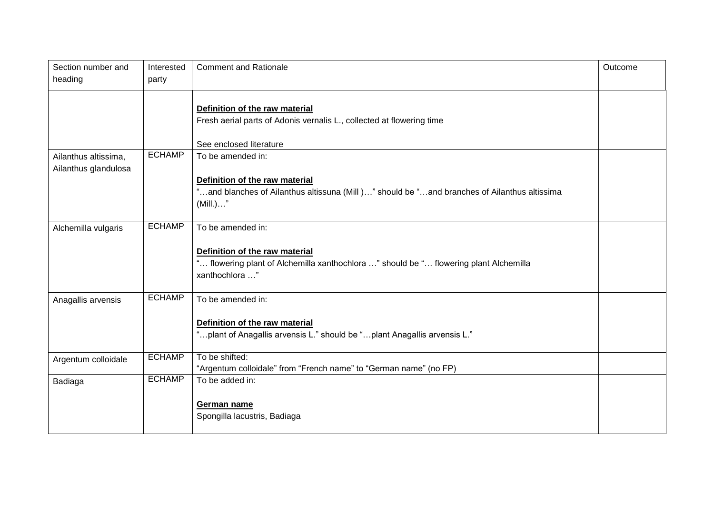| Section number and<br>heading                | Interested<br>party | <b>Comment and Rationale</b>                                                                               | Outcome |
|----------------------------------------------|---------------------|------------------------------------------------------------------------------------------------------------|---------|
|                                              |                     |                                                                                                            |         |
|                                              |                     | Definition of the raw material                                                                             |         |
|                                              |                     | Fresh aerial parts of Adonis vernalis L., collected at flowering time                                      |         |
|                                              |                     | See enclosed literature                                                                                    |         |
| Ailanthus altissima,<br>Ailanthus glandulosa | <b>ECHAMP</b>       | To be amended in:                                                                                          |         |
|                                              |                     | Definition of the raw material                                                                             |         |
|                                              |                     | "and blanches of Ailanthus altissuna (Mill)" should be "and branches of Ailanthus altissima<br>$(Mill.)$ " |         |
| Alchemilla vulgaris                          | <b>ECHAMP</b>       | To be amended in:                                                                                          |         |
|                                              |                     | Definition of the raw material                                                                             |         |
|                                              |                     | " flowering plant of Alchemilla xanthochlora " should be " flowering plant Alchemilla<br>xanthochlora "    |         |
| Anagallis arvensis                           | <b>ECHAMP</b>       | To be amended in:                                                                                          |         |
|                                              |                     | Definition of the raw material                                                                             |         |
|                                              |                     | "plant of Anagallis arvensis L." should be "plant Anagallis arvensis L."                                   |         |
| Argentum colloidale                          | <b>ECHAMP</b>       | To be shifted:                                                                                             |         |
|                                              |                     | "Argentum colloidale" from "French name" to "German name" (no FP)                                          |         |
| Badiaga                                      | <b>ECHAMP</b>       | To be added in:                                                                                            |         |
|                                              |                     | German name                                                                                                |         |
|                                              |                     | Spongilla lacustris, Badiaga                                                                               |         |
|                                              |                     |                                                                                                            |         |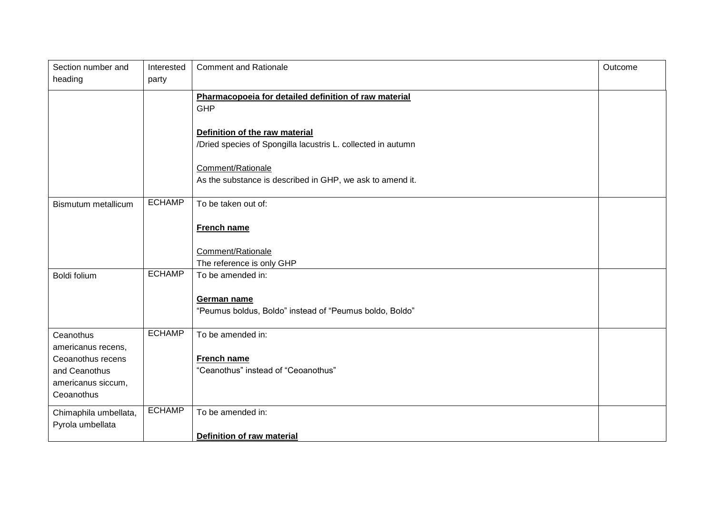| Section number and<br>heading             | Interested<br>party | <b>Comment and Rationale</b>                                                                   | Outcome |
|-------------------------------------------|---------------------|------------------------------------------------------------------------------------------------|---------|
|                                           |                     | Pharmacopoeia for detailed definition of raw material<br><b>GHP</b>                            |         |
|                                           |                     | Definition of the raw material<br>/Dried species of Spongilla lacustris L. collected in autumn |         |
|                                           |                     | Comment/Rationale<br>As the substance is described in GHP, we ask to amend it.                 |         |
| Bismutum metallicum                       | <b>ECHAMP</b>       | To be taken out of:                                                                            |         |
|                                           |                     | French name                                                                                    |         |
|                                           |                     | Comment/Rationale<br>The reference is only GHP                                                 |         |
| Boldi folium                              | <b>ECHAMP</b>       | To be amended in:                                                                              |         |
|                                           |                     | German name<br>"Peumus boldus, Boldo" instead of "Peumus boldo, Boldo"                         |         |
| Ceanothus<br>americanus recens,           | <b>ECHAMP</b>       | To be amended in:                                                                              |         |
| Ceoanothus recens                         |                     | French name                                                                                    |         |
| and Ceanothus                             |                     | "Ceanothus" instead of "Ceoanothus"                                                            |         |
| americanus siccum,<br>Ceoanothus          |                     |                                                                                                |         |
| Chimaphila umbellata,<br>Pyrola umbellata | <b>ECHAMP</b>       | To be amended in:                                                                              |         |
|                                           |                     | <b>Definition of raw material</b>                                                              |         |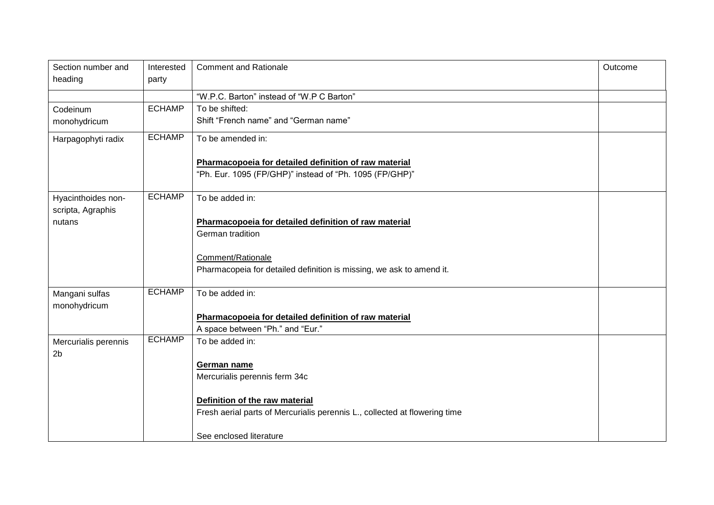| Section number and<br>heading | Interested<br>party | <b>Comment and Rationale</b>                                               | Outcome |
|-------------------------------|---------------------|----------------------------------------------------------------------------|---------|
|                               |                     |                                                                            |         |
|                               |                     | "W.P.C. Barton" instead of "W.P C Barton"                                  |         |
| Codeinum                      | <b>ECHAMP</b>       | To be shifted:                                                             |         |
| monohydricum                  |                     | Shift "French name" and "German name"                                      |         |
| Harpagophyti radix            | <b>ECHAMP</b>       | To be amended in:                                                          |         |
|                               |                     | Pharmacopoeia for detailed definition of raw material                      |         |
|                               |                     | "Ph. Eur. 1095 (FP/GHP)" instead of "Ph. 1095 (FP/GHP)"                    |         |
| Hyacinthoides non-            | <b>ECHAMP</b>       | To be added in:                                                            |         |
| scripta, Agraphis             |                     |                                                                            |         |
| nutans                        |                     | Pharmacopoeia for detailed definition of raw material                      |         |
|                               |                     | German tradition                                                           |         |
|                               |                     | Comment/Rationale                                                          |         |
|                               |                     | Pharmacopeia for detailed definition is missing, we ask to amend it.       |         |
| Mangani sulfas                | <b>ECHAMP</b>       | To be added in:                                                            |         |
| monohydricum                  |                     |                                                                            |         |
|                               |                     | Pharmacopoeia for detailed definition of raw material                      |         |
|                               |                     | A space between "Ph." and "Eur."                                           |         |
| Mercurialis perennis          | <b>ECHAMP</b>       | To be added in:                                                            |         |
| 2 <sub>b</sub>                |                     |                                                                            |         |
|                               |                     | German name                                                                |         |
|                               |                     | Mercurialis perennis ferm 34c                                              |         |
|                               |                     | Definition of the raw material                                             |         |
|                               |                     | Fresh aerial parts of Mercurialis perennis L., collected at flowering time |         |
|                               |                     | See enclosed literature                                                    |         |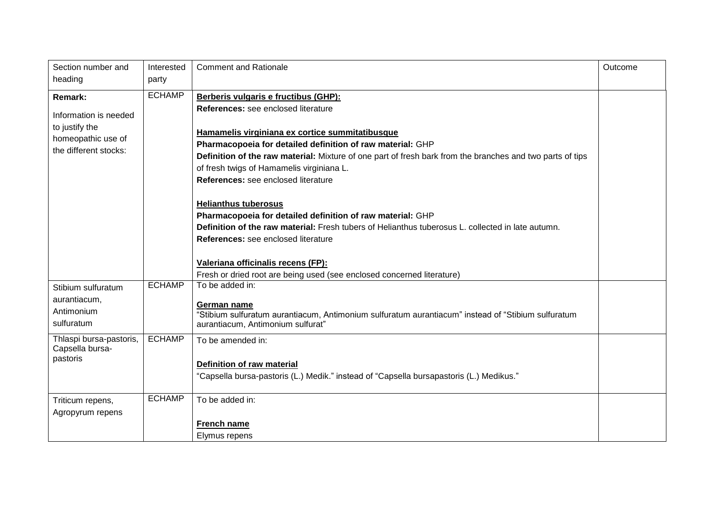| Section number and<br>heading                                                                            | Interested<br>party | <b>Comment and Rationale</b>                                                                                                                                                                                                                                                                                                                                                                                                                                                               | Outcome |
|----------------------------------------------------------------------------------------------------------|---------------------|--------------------------------------------------------------------------------------------------------------------------------------------------------------------------------------------------------------------------------------------------------------------------------------------------------------------------------------------------------------------------------------------------------------------------------------------------------------------------------------------|---------|
| <b>Remark:</b><br>Information is needed<br>to justify the<br>homeopathic use of<br>the different stocks: | <b>ECHAMP</b>       | Berberis vulgaris e fructibus (GHP):<br>References: see enclosed literature<br>Hamamelis virginiana ex cortice summitatibusque<br>Pharmacopoeia for detailed definition of raw material: GHP<br>Definition of the raw material: Mixture of one part of fresh bark from the branches and two parts of tips<br>of fresh twigs of Hamamelis virginiana L.<br>References: see enclosed literature<br><b>Helianthus tuberosus</b><br>Pharmacopoeia for detailed definition of raw material: GHP |         |
|                                                                                                          |                     | Definition of the raw material: Fresh tubers of Helianthus tuberosus L. collected in late autumn.<br>References: see enclosed literature<br>Valeriana officinalis recens (FP):<br>Fresh or dried root are being used (see enclosed concerned literature)                                                                                                                                                                                                                                   |         |
| Stibium sulfuratum<br>aurantiacum,<br>Antimonium<br>sulfuratum                                           | <b>ECHAMP</b>       | To be added in:<br>German name<br>"Stibium sulfuratum aurantiacum, Antimonium sulfuratum aurantiacum" instead of "Stibium sulfuratum<br>aurantiacum, Antimonium sulfurat"                                                                                                                                                                                                                                                                                                                  |         |
| Thlaspi bursa-pastoris,<br>Capsella bursa-<br>pastoris                                                   | <b>ECHAMP</b>       | To be amended in:<br>Definition of raw material<br>"Capsella bursa-pastoris (L.) Medik." instead of "Capsella bursapastoris (L.) Medikus."                                                                                                                                                                                                                                                                                                                                                 |         |
| Triticum repens,<br>Agropyrum repens                                                                     | <b>ECHAMP</b>       | To be added in:<br>French name<br>Elymus repens                                                                                                                                                                                                                                                                                                                                                                                                                                            |         |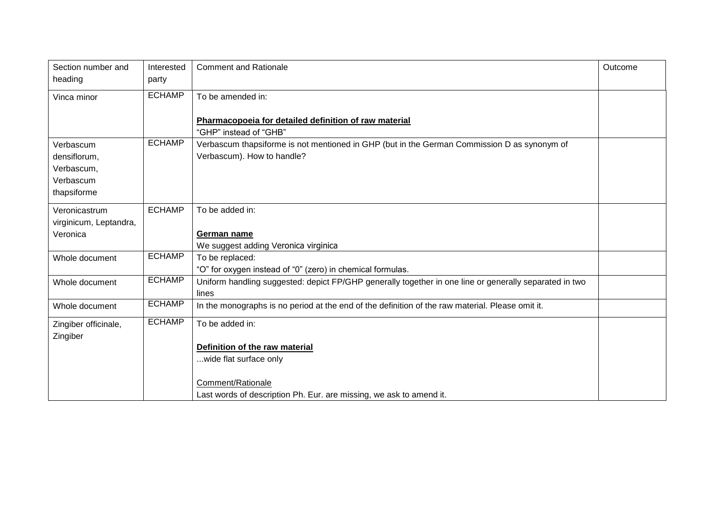| Section number and     | Interested    | <b>Comment and Rationale</b>                                                                           | Outcome |
|------------------------|---------------|--------------------------------------------------------------------------------------------------------|---------|
| heading                | party         |                                                                                                        |         |
| Vinca minor            | <b>ECHAMP</b> | To be amended in:                                                                                      |         |
|                        |               |                                                                                                        |         |
|                        |               | Pharmacopoeia for detailed definition of raw material                                                  |         |
|                        |               | "GHP" instead of "GHB"                                                                                 |         |
| Verbascum              | <b>ECHAMP</b> | Verbascum thapsiforme is not mentioned in GHP (but in the German Commission D as synonym of            |         |
| densiflorum,           |               | Verbascum). How to handle?                                                                             |         |
| Verbascum,             |               |                                                                                                        |         |
| Verbascum              |               |                                                                                                        |         |
| thapsiforme            |               |                                                                                                        |         |
| Veronicastrum          | <b>ECHAMP</b> | To be added in:                                                                                        |         |
| virginicum, Leptandra, |               |                                                                                                        |         |
| Veronica               |               | German name                                                                                            |         |
|                        |               | We suggest adding Veronica virginica                                                                   |         |
| Whole document         | <b>ECHAMP</b> | To be replaced:                                                                                        |         |
|                        |               | "O" for oxygen instead of "0" (zero) in chemical formulas.                                             |         |
| Whole document         | <b>ECHAMP</b> | Uniform handling suggested: depict FP/GHP generally together in one line or generally separated in two |         |
|                        |               | lines                                                                                                  |         |
| Whole document         | <b>ECHAMP</b> | In the monographs is no period at the end of the definition of the raw material. Please omit it.       |         |
| Zingiber officinale,   | <b>ECHAMP</b> | To be added in:                                                                                        |         |
| Zingiber               |               |                                                                                                        |         |
|                        |               | Definition of the raw material                                                                         |         |
|                        |               | wide flat surface only                                                                                 |         |
|                        |               |                                                                                                        |         |
|                        |               | Comment/Rationale                                                                                      |         |
|                        |               | Last words of description Ph. Eur. are missing, we ask to amend it.                                    |         |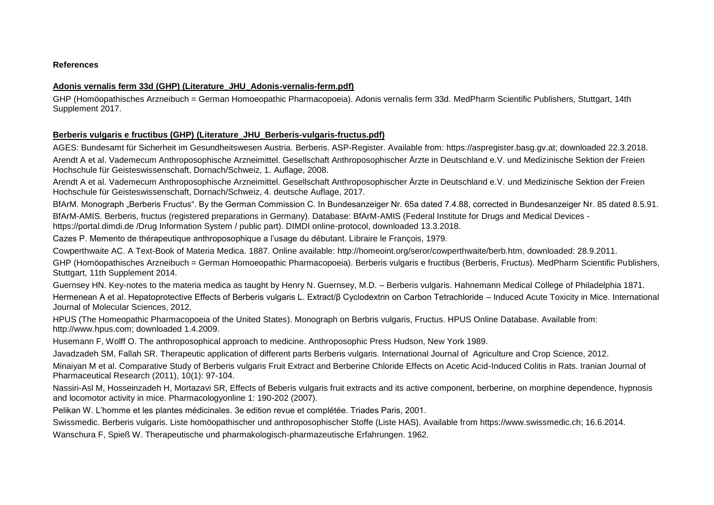**References**

#### **Adonis vernalis ferm 33d (GHP) (Literature\_JHU\_Adonis-vernalis-ferm.pdf)**

GHP (Homöopathisches Arzneibuch = German Homoeopathic Pharmacopoeia). Adonis vernalis ferm 33d. MedPharm Scientific Publishers, Stuttgart, 14th Supplement 2017.

#### **Berberis vulgaris e fructibus (GHP) (Literature\_JHU\_Berberis-vulgaris-fructus.pdf)**

AGES: Bundesamt für Sicherheit im Gesundheitswesen Austria. Berberis. ASP-Register. Available from: https://aspregister.basg.gv.at; downloaded 22.3.2018. Arendt A et al. Vademecum Anthroposophische Arzneimittel. Gesellschaft Anthroposophischer Ärzte in Deutschland e.V. und Medizinische Sektion der Freien Hochschule für Geisteswissenschaft, Dornach/Schweiz, 1. Auflage, 2008.

Arendt A et al. Vademecum Anthroposophische Arzneimittel. Gesellschaft Anthroposophischer Ärzte in Deutschland e.V. und Medizinische Sektion der Freien Hochschule für Geisteswissenschaft, Dornach/Schweiz, 4. deutsche Auflage, 2017.

BfArM. Monograph "Berberis Fructus". By the German Commission C. In Bundesanzeiger Nr. 65a dated 7.4.88, corrected in Bundesanzeiger Nr. 85 dated 8.5.91. BfArM-AMIS. Berberis, fructus (registered preparations in Germany). Database: BfArM-AMIS (Federal Institute for Drugs and Medical Devices [https://portal.dimdi.de](https://portal.dimdi.de/) /Drug Information System / public part). DIMDI online-protocol, downloaded 13.3.2018.

Cazes P. Memento de thérapeutique anthroposophique a l'usage du débutant. Libraire le François, 1979.

Cowperthwaite AC. A Text-Book of Materia Medica. 1887. Online available: [http://homeoint.org/seror/cowperthwaite/berb.htm,](http://homeoint.org/seror/cowperthwaite/berb.htm) downloaded: 28.9.2011.

GHP (Homöopathisches Arzneibuch = German Homoeopathic Pharmacopoeia). Berberis vulgaris e fructibus (Berberis, Fructus). MedPharm Scientific Publishers, Stuttgart, 11th Supplement 2014.

Guernsey HN. Key-notes to the materia medica as taught by Henry N. Guernsey, M.D. – Berberis vulgaris. Hahnemann Medical College of Philadelphia 1871.

Hermenean A et al. Hepatoprotective Effects of Berberis vulgaris L. Extract/β Cyclodextrin on Carbon Tetrachloride – Induced Acute Toxicity in Mice. International Journal of Molecular Sciences, 2012.

HPUS (The Homeopathic Pharmacopoeia of the United States). Monograph on Berbris vulgaris, Fructus. HPUS Online Database. Available from: http://www.hpus.com; downloaded 1.4.2009.

Husemann F, Wolff O. The anthroposophical approach to medicine. Anthroposophic Press Hudson, New York 1989.

Javadzadeh SM, Fallah SR. Therapeutic application of different parts Berberis vulgaris. International Journal of Agriculture and Crop Science, 2012.

Minaiyan M et al. Comparative Study of Berberis vulgaris Fruit Extract and Berberine Chloride Effects on Acetic Acid-Induced Colitis in Rats. Iranian Journal of Pharmaceutical Research (2011), 10(1): 97-104.

Nassiri-Asl M, Hosseinzadeh H, Mortazavi SR, Effects of Beberis vulgaris fruit extracts and its active component, berberine, on morphine dependence, hypnosis and locomotor activity in mice. Pharmacologyonline 1: 190-202 (2007).

Pelikan W. L'homme et les plantes médicinales. 3e edition revue et complétée. Triades Paris, 2001.

Swissmedic. Berberis vulgaris. Liste homöopathischer und anthroposophischer Stoffe (Liste HAS). Available from [https://www.swissmedic.ch;](https://www.swissmedic.ch/) 16.6.2014.

Wanschura F, Spieß W. Therapeutische und pharmakologisch-pharmazeutische Erfahrungen. 1962.